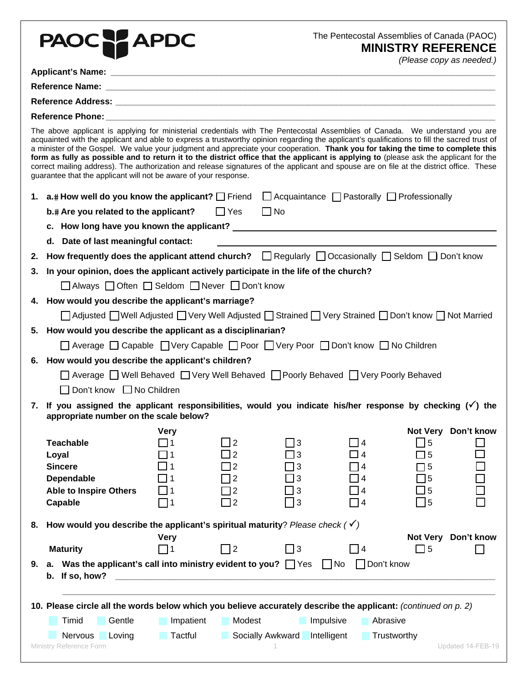|    | PAOC PAPDC                                                                                                                                                                                                                                                                                                                                                                                                                                                                                                                                                                                                                                                                                                                                                                |                                                       |                                       | The Pentecostal Assemblies of Canada (PAOC)                                          |                                                    | <b>MINISTRY REFERENCE</b><br>(Please copy as needed.) |  |  |  |
|----|---------------------------------------------------------------------------------------------------------------------------------------------------------------------------------------------------------------------------------------------------------------------------------------------------------------------------------------------------------------------------------------------------------------------------------------------------------------------------------------------------------------------------------------------------------------------------------------------------------------------------------------------------------------------------------------------------------------------------------------------------------------------------|-------------------------------------------------------|---------------------------------------|--------------------------------------------------------------------------------------|----------------------------------------------------|-------------------------------------------------------|--|--|--|
|    |                                                                                                                                                                                                                                                                                                                                                                                                                                                                                                                                                                                                                                                                                                                                                                           |                                                       |                                       |                                                                                      |                                                    |                                                       |  |  |  |
|    |                                                                                                                                                                                                                                                                                                                                                                                                                                                                                                                                                                                                                                                                                                                                                                           |                                                       |                                       |                                                                                      |                                                    |                                                       |  |  |  |
|    |                                                                                                                                                                                                                                                                                                                                                                                                                                                                                                                                                                                                                                                                                                                                                                           |                                                       |                                       |                                                                                      |                                                    |                                                       |  |  |  |
|    |                                                                                                                                                                                                                                                                                                                                                                                                                                                                                                                                                                                                                                                                                                                                                                           |                                                       |                                       |                                                                                      |                                                    |                                                       |  |  |  |
|    | The above applicant is applying for ministerial credentials with The Pentecostal Assemblies of Canada. We understand you are<br>acquainted with the applicant and able to express a trustworthy opinion regarding the applicant's qualifications to fill the sacred trust of<br>a minister of the Gospel. We value your judgment and appreciate your cooperation. Thank you for taking the time to complete this<br>form as fully as possible and to return it to the district office that the applicant is applying to (please ask the applicant for the<br>correct mailing address). The authorization and release signatures of the applicant and spouse are on file at the district office. These<br>guarantee that the applicant will not be aware of your response. |                                                       |                                       |                                                                                      |                                                    |                                                       |  |  |  |
|    | 1. $a.$ How well do you know the applicant? $\Box$ Friend $\Box$ Acquaintance $\Box$ Pastorally $\Box$ Professionally                                                                                                                                                                                                                                                                                                                                                                                                                                                                                                                                                                                                                                                     |                                                       |                                       |                                                                                      |                                                    |                                                       |  |  |  |
|    | b.# Are you related to the applicant?                                                                                                                                                                                                                                                                                                                                                                                                                                                                                                                                                                                                                                                                                                                                     | $\Box$ Yes $\Box$ No                                  |                                       |                                                                                      |                                                    |                                                       |  |  |  |
|    |                                                                                                                                                                                                                                                                                                                                                                                                                                                                                                                                                                                                                                                                                                                                                                           |                                                       |                                       |                                                                                      |                                                    |                                                       |  |  |  |
|    | d. Date of last meaningful contact:                                                                                                                                                                                                                                                                                                                                                                                                                                                                                                                                                                                                                                                                                                                                       |                                                       |                                       |                                                                                      |                                                    |                                                       |  |  |  |
|    | 2. How frequently does the applicant attend church?<br>Thegularly<br>$\Box$ Occasionally $\Box$ Seldom $\Box$ Don't know                                                                                                                                                                                                                                                                                                                                                                                                                                                                                                                                                                                                                                                  |                                                       |                                       |                                                                                      |                                                    |                                                       |  |  |  |
| 3. |                                                                                                                                                                                                                                                                                                                                                                                                                                                                                                                                                                                                                                                                                                                                                                           |                                                       |                                       |                                                                                      |                                                    |                                                       |  |  |  |
|    | In your opinion, does the applicant actively participate in the life of the church?<br>□ Always □ Often □ Seldom □ Never □ Don't know                                                                                                                                                                                                                                                                                                                                                                                                                                                                                                                                                                                                                                     |                                                       |                                       |                                                                                      |                                                    |                                                       |  |  |  |
|    | 4. How would you describe the applicant's marriage?                                                                                                                                                                                                                                                                                                                                                                                                                                                                                                                                                                                                                                                                                                                       |                                                       |                                       |                                                                                      |                                                    |                                                       |  |  |  |
|    | Adjusted Well Adjusted   Very Well Adjusted   Strained   Very Strained   Don't know   Not Married                                                                                                                                                                                                                                                                                                                                                                                                                                                                                                                                                                                                                                                                         |                                                       |                                       |                                                                                      |                                                    |                                                       |  |  |  |
|    | 5. How would you describe the applicant as a disciplinarian?                                                                                                                                                                                                                                                                                                                                                                                                                                                                                                                                                                                                                                                                                                              |                                                       |                                       |                                                                                      |                                                    |                                                       |  |  |  |
|    | △ Average △ Capable △ Very Capable △ Poor △ Very Poor △ Don't know △ No Children                                                                                                                                                                                                                                                                                                                                                                                                                                                                                                                                                                                                                                                                                          |                                                       |                                       |                                                                                      |                                                    |                                                       |  |  |  |
|    |                                                                                                                                                                                                                                                                                                                                                                                                                                                                                                                                                                                                                                                                                                                                                                           |                                                       |                                       |                                                                                      |                                                    |                                                       |  |  |  |
|    | 6. How would you describe the applicant's children?<br>□ Average □ Well Behaved □ Very Well Behaved □ Poorly Behaved □ Very Poorly Behaved                                                                                                                                                                                                                                                                                                                                                                                                                                                                                                                                                                                                                                |                                                       |                                       |                                                                                      |                                                    |                                                       |  |  |  |
|    | $\Box$ Don't know $\Box$ No Children                                                                                                                                                                                                                                                                                                                                                                                                                                                                                                                                                                                                                                                                                                                                      |                                                       |                                       |                                                                                      |                                                    |                                                       |  |  |  |
|    | 7. If you assigned the applicant responsibilities, would you indicate his/her response by checking $(\checkmark)$ the                                                                                                                                                                                                                                                                                                                                                                                                                                                                                                                                                                                                                                                     |                                                       |                                       |                                                                                      |                                                    |                                                       |  |  |  |
|    | appropriate number on the scale below?                                                                                                                                                                                                                                                                                                                                                                                                                                                                                                                                                                                                                                                                                                                                    |                                                       |                                       |                                                                                      |                                                    |                                                       |  |  |  |
|    | <b>Very</b><br><b>Teachable</b><br>$\vert$ 11<br>Loyal<br><b>Sincere</b><br>Dependable<br><b>Able to Inspire Others</b><br>Capable<br>- 11                                                                                                                                                                                                                                                                                                                                                                                                                                                                                                                                                                                                                                | ヿ2<br>2<br>$\overline{2}$<br>2<br>2<br>$\overline{2}$ | $\vert$ 3<br>3<br>3<br>l 3<br>3<br>ヿ3 | $ $ $ $ 4<br>l 14<br>$\overline{4}$<br>$\overline{14}$<br>$\overline{4}$<br>$\Box$ 4 | ヿ5<br>$\mathsf{15}$<br>٦5<br>٦5<br>] 5<br>$\Box$ 5 | Not Very Don't know                                   |  |  |  |
| 8. | How would you describe the applicant's spiritual maturity? Please check $(\checkmark)$                                                                                                                                                                                                                                                                                                                                                                                                                                                                                                                                                                                                                                                                                    |                                                       |                                       |                                                                                      |                                                    |                                                       |  |  |  |
|    | <b>Very</b>                                                                                                                                                                                                                                                                                                                                                                                                                                                                                                                                                                                                                                                                                                                                                               |                                                       |                                       |                                                                                      | <b>Not Very</b>                                    | Don't know                                            |  |  |  |
|    | <b>Maturity</b><br>$\overline{11}$                                                                                                                                                                                                                                                                                                                                                                                                                                                                                                                                                                                                                                                                                                                                        | $\Box$ 2                                              | $\Box$ 3                              | $\Box$ 4                                                                             | $\Box$ 5                                           |                                                       |  |  |  |
| 9. | a. Was the applicant's call into ministry evident to you? $\Box$ Yes<br>b. If so, how?<br><u> 1980 - Jan Barat, martin da shekara ta 1980 haɗa 1980 (haɗa 1980) da shekara ta 1980 (haɗa 1980) da shekara</u>                                                                                                                                                                                                                                                                                                                                                                                                                                                                                                                                                             |                                                       |                                       | $\Box$ Don't know<br>$\Box$ No                                                       |                                                    |                                                       |  |  |  |
|    | 10. Please circle all the words below which you believe accurately describe the applicant: (continued on p. 2)                                                                                                                                                                                                                                                                                                                                                                                                                                                                                                                                                                                                                                                            |                                                       |                                       |                                                                                      |                                                    |                                                       |  |  |  |
|    | Timid<br>Gentle<br>Impatient                                                                                                                                                                                                                                                                                                                                                                                                                                                                                                                                                                                                                                                                                                                                              | Modest                                                |                                       | Impulsive<br>Abrasive                                                                |                                                    |                                                       |  |  |  |
|    | <b>Tactful</b><br>Nervous<br>Loving                                                                                                                                                                                                                                                                                                                                                                                                                                                                                                                                                                                                                                                                                                                                       |                                                       | Socially Awkward                      | Intelligent                                                                          | Trustworthy                                        |                                                       |  |  |  |
|    | Ministry Reference Form                                                                                                                                                                                                                                                                                                                                                                                                                                                                                                                                                                                                                                                                                                                                                   |                                                       |                                       |                                                                                      |                                                    | Updated 14-FEB-19                                     |  |  |  |